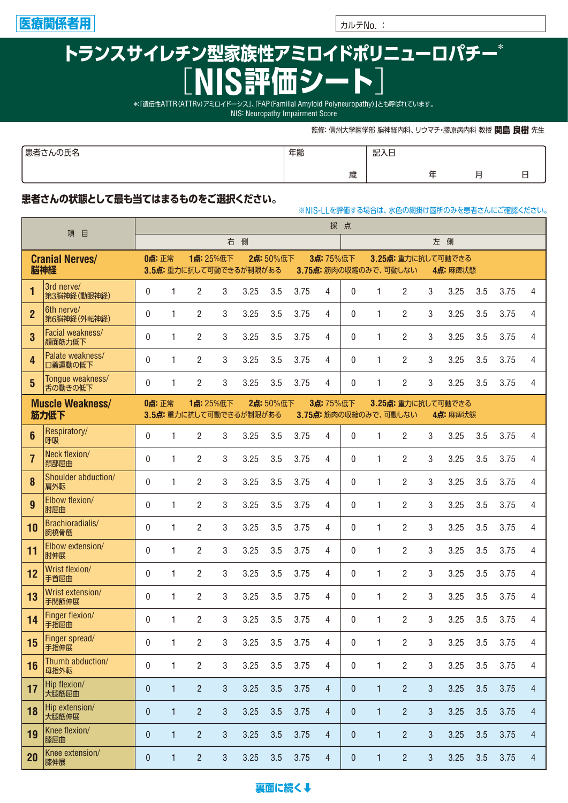

## トランスサイレチン型家族性アミロイドポリニューロパチー\* **評価シー**

\*:「遺伝性ATTR(ATTRv)アミロイドーシス」、「FAP(Familial Amyloid Polyneuropathy)」とも呼ばれています。

NIS: Neuropathy Impairment Score

監修: 信州大学医学部 脳神経内科、リウマチ・膠原病内科 教授 関島 良樹 先生

※NIS-LLを評価する場合は、水色の網掛け箇所のみを患者さんにご確認ください。

| ・エク<br>にんの比名<br>心口 | 年齢 | 記入日 |                |             |
|--------------------|----|-----|----------------|-------------|
|                    | 歳  |     | $\overline{ }$ | $\sim$<br>– |

## 患者さんの状態として最も当てはまるものをご選択ください。

| 目<br>項                  |                             |              | 採点                                                                |                         |                |      |          |              |                |              |                      |                       |                |              |     |      |   |
|-------------------------|-----------------------------|--------------|-------------------------------------------------------------------|-------------------------|----------------|------|----------|--------------|----------------|--------------|----------------------|-----------------------|----------------|--------------|-----|------|---|
|                         |                             | 側<br>右       |                                                                   |                         |                |      |          |              |                |              |                      |                       |                | 左 側          |     |      |   |
|                         | <b>Cranial Nerves/</b>      | 0点:正常        |                                                                   | 1点: 25%低下               |                |      | 2点:50%低下 |              | 3点: 75%低下      |              |                      | 3.25点: 重力に抗して可動できる    |                |              |     |      |   |
|                         | 脳神経                         |              |                                                                   | 3.5点: 重力に抗して可動できるが制限がある |                |      |          |              |                |              | 3.75点:筋肉の収縮のみで、可動しない |                       |                | 4点: 麻痺状態     |     |      |   |
| 1                       | 3rd nerve/<br>第3脳神経(動眼神経)   | 0            | 1                                                                 | 2                       | 3              | 3.25 | 3.5      | 3.75         | 4              | 0            | 1                    | $\overline{2}$        | 3              | 3.25         | 3.5 | 3.75 | 4 |
| $\overline{2}$          | 6th nerve/<br>第6脳神経(外転神経)   | 0            | 1                                                                 | $\overline{2}$          | 3              | 3.25 | 3.5      | 3.75         | 4              | 0            | 1                    | $\overline{2}$        | 3              | 3.25         | 3.5 | 3.75 | 4 |
| 3                       | Facial weakness/<br>顔面筋力低下  | $\mathbf{0}$ | 1                                                                 | 2                       | 3              | 3.25 | 3.5      | 3.75         | 4              | 0            | 1                    | $\overline{2}$        | 3              | 3.25         | 3.5 | 3.75 | 4 |
| 4                       | Palate weakness/<br>口蓋運動の低下 | $\mathbf{0}$ | 1                                                                 | $\overline{2}$          | 3              | 3.25 | 3.5      | 3.75         | 4              | 0            | 1                    | $\overline{2}$        | 3              | 3.25         | 3.5 | 3.75 | 4 |
| 5                       | Tongue weakness/<br>舌の動きの低下 | $\mathbf{0}$ | 1                                                                 | $\overline{2}$          | 3              | 3.25 | 3.5      | 3.75         | 4              | 0            | 1                    | $\overline{2}$        | 3              | 3.25         | 3.5 | 3.75 | 4 |
| <b>Muscle Weakness/</b> |                             |              | 1点: 25%低下<br>2点:50%低下<br>3点: 75%低下<br>0点:正常<br>3.25点: 重力に抗して可動できる |                         |                |      |          |              |                |              |                      |                       |                |              |     |      |   |
|                         | 筋力低下                        |              |                                                                   | 3.5点: 重力に抗して可動できるが制限がある |                |      |          |              |                |              |                      | 3.75点: 筋肉の収縮のみで、可動しない |                | 4点: 麻痺状態     |     |      |   |
| $6\phantom{1}$          | Respiratory/<br>呼吸          | $\mathbf{0}$ | 1                                                                 | $\overline{2}$          | 3              | 3.25 | 3.5      | 3.75         | 4              | 0            | 1                    | $\overline{2}$        | 3              | 3.25         | 3.5 | 3.75 | 4 |
| $\overline{7}$          | Neck flexion/<br>頚部屈曲       | $\mathbf{0}$ | 1                                                                 | 2                       | 3              | 3.25 | 3.5      | 3.75         | 4              | 0            | 1                    | $\overline{2}$        | 3              | 3.25         | 3.5 | 3.75 | 4 |
| 8                       | Shoulder abduction/<br>肩外転  | $\mathbf{0}$ | 1                                                                 | 2                       | 3              | 3.25 | 3.5      | 3.75         | 4              | $\mathbf{0}$ | 1                    | $\overline{2}$        | 3              | 3.25         | 3.5 | 3.75 | 4 |
| 9                       | Elbow flexion/<br>肘屈曲       | $\mathbf{0}$ | 1                                                                 | 2                       | 3              | 3.25 | 3.5      | 3.75         | 4              | $\mathbf{0}$ | 1                    | $\overline{2}$        | 3              | 3.25         | 3.5 | 3.75 | 4 |
| 10                      | Brachioradialis/<br>腕橈骨筋    | $\mathbf{0}$ | 1                                                                 | 2                       | 3              | 3.25 | 3.5      | 3.75         | 4              | $\mathbf{0}$ | 1                    | $\overline{2}$        | 3              | 3.25         | 3.5 | 3.75 | 4 |
| 11                      | Elbow extension/<br>肘伸展     | $\mathbf{0}$ | $\mathbf{1}$                                                      | 2                       | 3              | 3.25 | 3.5      | 3.75         | 4              | $\mathbf{0}$ | 1                    | $\overline{2}$        | 3              | 3.25         | 3.5 | 3.75 | 4 |
| 12                      | Wrist flexion/<br>手首屈曲      | $\mathbf{0}$ | $\mathbf{1}$                                                      | 2                       | 3              | 3.25 | 3.5      | 3.75         | 4              | 0            | 1                    | $\overline{2}$        | 3              | 3.25         | 3.5 | 3.75 | 4 |
| 13                      | Wrist extension/<br>手関節伸展   | $\mathbf{0}$ | 1                                                                 | 2                       | 3              | 3.25 | 3.5      | 3.75         | 4              | $\mathbf{0}$ | 1                    | $\overline{2}$        | 3              | 3.25         | 3.5 | 3.75 | 4 |
| 14                      | Finger flexion/<br>手指屈曲     | $\mathbf{0}$ | $\mathbf{1}$                                                      | 2                       | 3              | 3.25 | 3.5      | 3.75         | 4              | 0            | 1                    | $\overline{2}$        | 3              | 3.25         | 3.5 | 3.75 | 4 |
| 15                      | Finger spread/<br>手指伸展      | $\mathbf{0}$ | $\mathbf{1}$                                                      | $\mathbf{2}$            | 3 <sup>7</sup> | 3.25 |          | $3.5$ $3.75$ | 4              | 0            | $1 \quad$            | $2^{\circ}$           | 3 <sup>1</sup> | $3.25$ $3.5$ |     | 3.75 | 4 |
| 16                      | Thumb abduction/<br>母指外転    | $\mathbf{0}$ | 1                                                                 | $\overline{2}$          | 3              | 3.25 | 3.5      | 3.75         | 4              | 0            | 1                    | $\overline{2}$        | 3              | 3.25         | 3.5 | 3.75 | 4 |
| 17                      | Hip flexion/<br>大腿筋屈曲       | $\mathbf{0}$ | $\mathbf{1}$                                                      | $\overline{2}$          | 3              | 3.25 | 3.5      | 3.75         | $\overline{4}$ | $\mathbf{0}$ | $\mathbf{1}$         | $\overline{2}$        | 3              | 3.25         | 3.5 | 3.75 | 4 |
| 18                      | Hip extension/<br>大腿筋伸展     | $\mathbf{0}$ | $\mathbf{1}$                                                      | $\overline{2}$          | 3              | 3.25 | 3.5      | 3.75         | $\overline{4}$ | $\mathbf{0}$ | $\mathbf{1}$         | $\overline{2}$        | 3              | 3.25         | 3.5 | 3.75 | 4 |
| 19                      | Knee flexion/<br>膝屈曲        | $\theta$     | 1                                                                 | 2                       | 3              | 3.25 | 3.5      | 3.75         | $\overline{4}$ | 0            | 1                    | $\overline{c}$        | 3              | 3.25         | 3.5 | 3.75 | 4 |
| 20                      | Knee extension/<br>膝伸展      | $\theta$     | 1                                                                 | 2                       | 3              | 3.25 | 3.5      | 3.75         | 4              | 0            | 1                    | $\overline{c}$        | 3              | 3.25         | 3.5 | 3.75 | 4 |